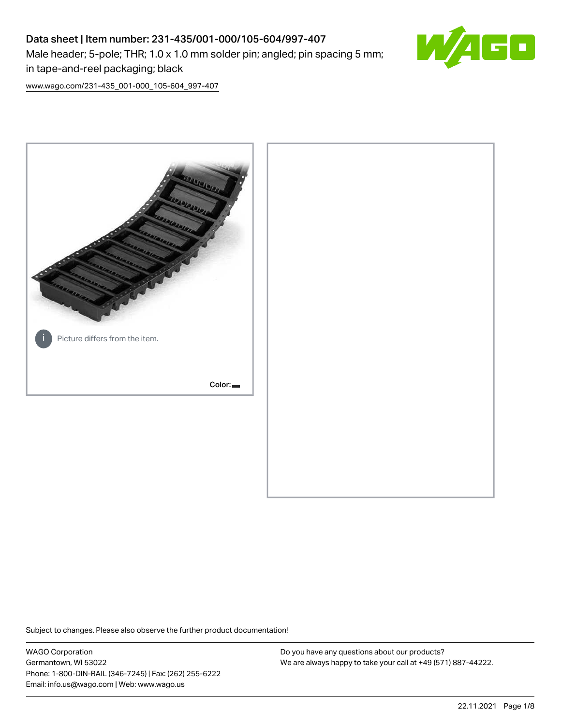# Data sheet | Item number: 231-435/001-000/105-604/997-407 Male header; 5-pole; THR; 1.0 x 1.0 mm solder pin; angled; pin spacing 5 mm; in tape-and-reel packaging; black



[www.wago.com/231-435\\_001-000\\_105-604\\_997-407](http://www.wago.com/231-435_001-000_105-604_997-407)



Subject to changes. Please also observe the further product documentation!

WAGO Corporation Germantown, WI 53022 Phone: 1-800-DIN-RAIL (346-7245) | Fax: (262) 255-6222 Email: info.us@wago.com | Web: www.wago.us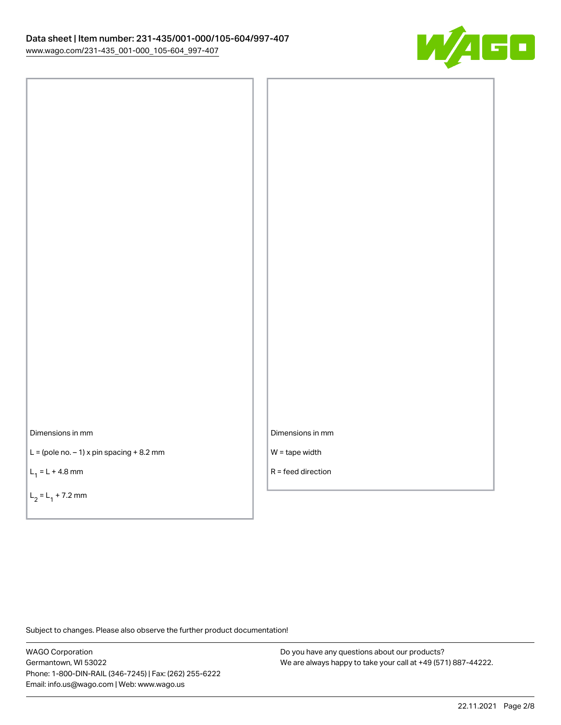

Dimensions in mm

 $L =$  (pole no.  $-1$ ) x pin spacing  $+8.2$  mm

 $L_1 = L + 4.8$  mm

 $L_2 = L_1 + 7.2$  mm

Dimensions in mm

W = tape width

R = feed direction

Subject to changes. Please also observe the further product documentation!

WAGO Corporation Germantown, WI 53022 Phone: 1-800-DIN-RAIL (346-7245) | Fax: (262) 255-6222 Email: info.us@wago.com | Web: www.wago.us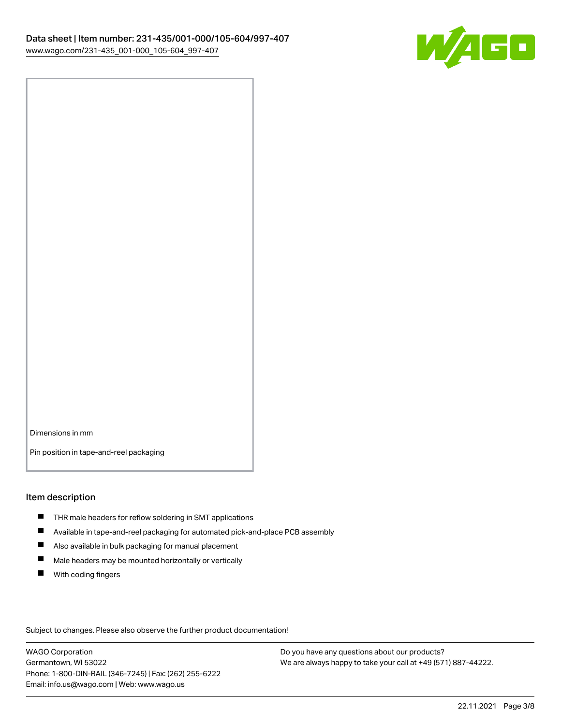

Dimensions in mm

Pin position in tape-and-reel packaging

#### Item description

- **THR** male headers for reflow soldering in SMT applications
- $\blacksquare$ Available in tape-and-reel packaging for automated pick-and-place PCB assembly
- $\blacksquare$ Also available in bulk packaging for manual placement
- $\blacksquare$ Male headers may be mounted horizontally or vertically
- **With coding fingers**

Subject to changes. Please also observe the further product documentation!

WAGO Corporation Germantown, WI 53022 Phone: 1-800-DIN-RAIL (346-7245) | Fax: (262) 255-6222 Email: info.us@wago.com | Web: www.wago.us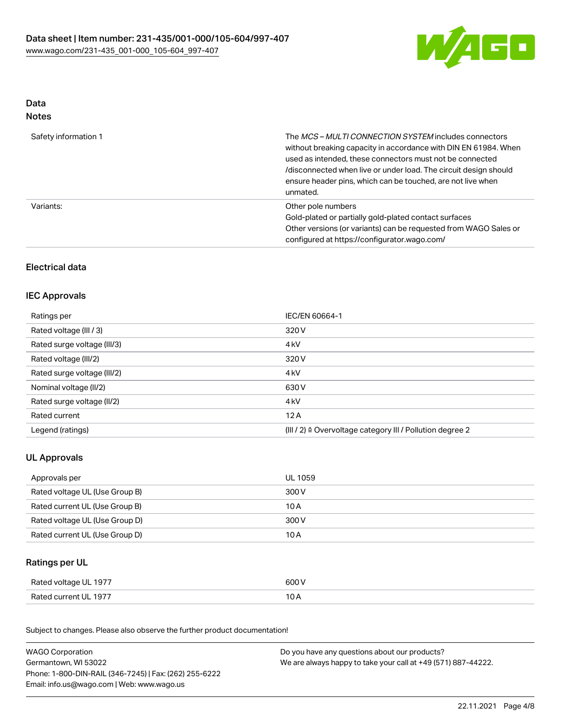

### Data Notes

| Safety information 1 | The MCS-MULTI CONNECTION SYSTEM includes connectors<br>without breaking capacity in accordance with DIN EN 61984. When<br>used as intended, these connectors must not be connected<br>/disconnected when live or under load. The circuit design should<br>ensure header pins, which can be touched, are not live when<br>unmated. |
|----------------------|-----------------------------------------------------------------------------------------------------------------------------------------------------------------------------------------------------------------------------------------------------------------------------------------------------------------------------------|
| Variants:            | Other pole numbers<br>Gold-plated or partially gold-plated contact surfaces<br>Other versions (or variants) can be requested from WAGO Sales or<br>configured at https://configurator.wago.com/                                                                                                                                   |

# Electrical data

### IEC Approvals

| Ratings per                 | IEC/EN 60664-1                                                        |
|-----------------------------|-----------------------------------------------------------------------|
| Rated voltage (III / 3)     | 320 V                                                                 |
| Rated surge voltage (III/3) | 4 <sub>k</sub> V                                                      |
| Rated voltage (III/2)       | 320 V                                                                 |
| Rated surge voltage (III/2) | 4 <sub>k</sub> V                                                      |
| Nominal voltage (II/2)      | 630 V                                                                 |
| Rated surge voltage (II/2)  | 4 <sub>k</sub> V                                                      |
| Rated current               | 12A                                                                   |
| Legend (ratings)            | $(III / 2)$ $\triangle$ Overvoltage category III / Pollution degree 2 |

# UL Approvals

| Approvals per                  | UL 1059 |
|--------------------------------|---------|
| Rated voltage UL (Use Group B) | 300 V   |
| Rated current UL (Use Group B) | 10 A    |
| Rated voltage UL (Use Group D) | 300 V   |
| Rated current UL (Use Group D) | 10 A    |

#### Ratings per UL

| Rated voltage UL 1977 | 600 V |
|-----------------------|-------|
| Rated current UL 1977 | 10 A  |

Subject to changes. Please also observe the further product documentation!

| <b>WAGO Corporation</b>                                | Do you have any questions about our products?                 |
|--------------------------------------------------------|---------------------------------------------------------------|
| Germantown, WI 53022                                   | We are always happy to take your call at +49 (571) 887-44222. |
| Phone: 1-800-DIN-RAIL (346-7245)   Fax: (262) 255-6222 |                                                               |
| Email: info.us@wago.com   Web: www.wago.us             |                                                               |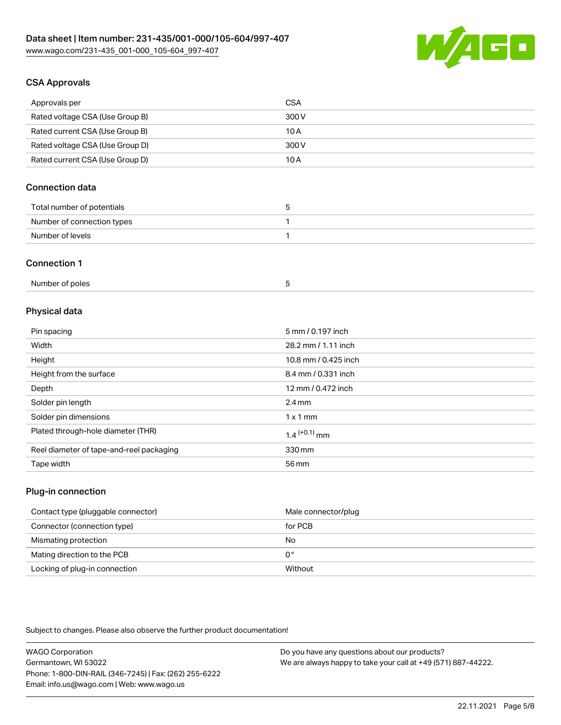

# CSA Approvals

| Approvals per                   | <b>CSA</b> |
|---------------------------------|------------|
| Rated voltage CSA (Use Group B) | 300 V      |
| Rated current CSA (Use Group B) | 10 A       |
| Rated voltage CSA (Use Group D) | 300 V      |
| Rated current CSA (Use Group D) | 10 A       |

# Connection data

| Total number of potentials |  |
|----------------------------|--|
| Number of connection types |  |
| Number of levels           |  |

#### Connection 1

| Number of poles |  |
|-----------------|--|
|-----------------|--|

# Physical data

| Pin spacing                              | 5 mm / 0.197 inch    |
|------------------------------------------|----------------------|
| Width                                    | 28.2 mm / 1.11 inch  |
| Height                                   | 10.8 mm / 0.425 inch |
| Height from the surface                  | 8.4 mm / 0.331 inch  |
| Depth                                    | 12 mm / 0.472 inch   |
| Solder pin length                        | $2.4 \text{ mm}$     |
| Solder pin dimensions                    | $1 \times 1$ mm      |
| Plated through-hole diameter (THR)       | $1.4$ $(+0.1)$ mm    |
| Reel diameter of tape-and-reel packaging | 330 mm               |
| Tape width                               | 56 mm                |

#### Plug-in connection

| Contact type (pluggable connector) | Male connector/plug |
|------------------------------------|---------------------|
| Connector (connection type)        | for PCB             |
| Mismating protection               | No                  |
| Mating direction to the PCB        | 0°                  |
| Locking of plug-in connection      | Without             |

Subject to changes. Please also observe the further product documentation!

| <b>WAGO Corporation</b>                                | Do you have any questions about our products?                 |
|--------------------------------------------------------|---------------------------------------------------------------|
| Germantown, WI 53022                                   | We are always happy to take your call at +49 (571) 887-44222. |
| Phone: 1-800-DIN-RAIL (346-7245)   Fax: (262) 255-6222 |                                                               |
| Email: info.us@wago.com   Web: www.wago.us             |                                                               |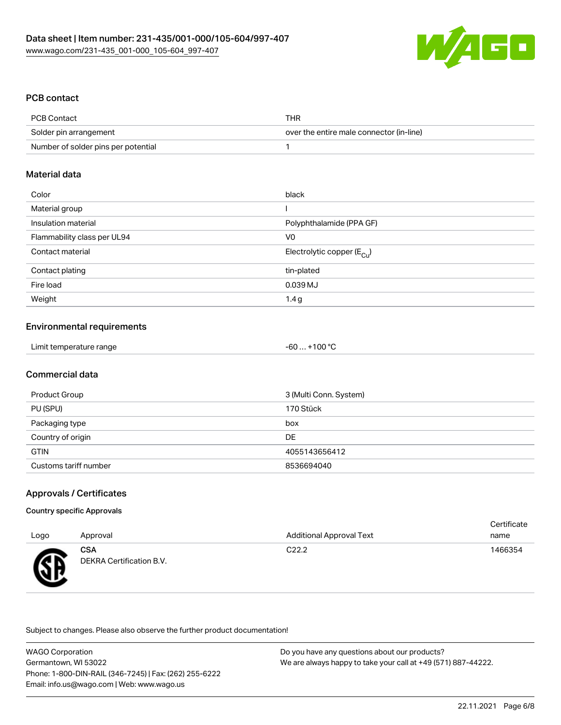

#### PCB contact

| PCB Contact                         | THR                                      |
|-------------------------------------|------------------------------------------|
| Solder pin arrangement              | over the entire male connector (in-line) |
| Number of solder pins per potential |                                          |

#### Material data

| Color                       | black                                 |
|-----------------------------|---------------------------------------|
| Material group              |                                       |
| Insulation material         | Polyphthalamide (PPA GF)              |
| Flammability class per UL94 | V0                                    |
| Contact material            | Electrolytic copper $(E_{\text{Cl}})$ |
| Contact plating             | tin-plated                            |
| Fire load                   | 0.039 MJ                              |
| Weight                      | 1.4g                                  |

#### Environmental requirements

| Limit temperature range<br>$+100 °C$<br>-60 |  |
|---------------------------------------------|--|
|---------------------------------------------|--|

#### Commercial data

| Product Group         | 3 (Multi Conn. System) |
|-----------------------|------------------------|
| PU (SPU)              | 170 Stück              |
| Packaging type        | box                    |
| Country of origin     | DE                     |
| <b>GTIN</b>           | 4055143656412          |
| Customs tariff number | 8536694040             |

#### Approvals / Certificates

#### Country specific Approvals

| Logo             | Approval                               | <b>Additional Approval Text</b> | Certificate<br>name |
|------------------|----------------------------------------|---------------------------------|---------------------|
| Æ<br>$\bf\omega$ | <b>CSA</b><br>DEKRA Certification B.V. | C <sub>22.2</sub>               | 1466354             |

Subject to changes. Please also observe the further product documentation!

| <b>WAGO Corporation</b>                                | Do you have any questions about our products?                 |
|--------------------------------------------------------|---------------------------------------------------------------|
| Germantown, WI 53022                                   | We are always happy to take your call at +49 (571) 887-44222. |
| Phone: 1-800-DIN-RAIL (346-7245)   Fax: (262) 255-6222 |                                                               |
| Email: info.us@wago.com   Web: www.wago.us             |                                                               |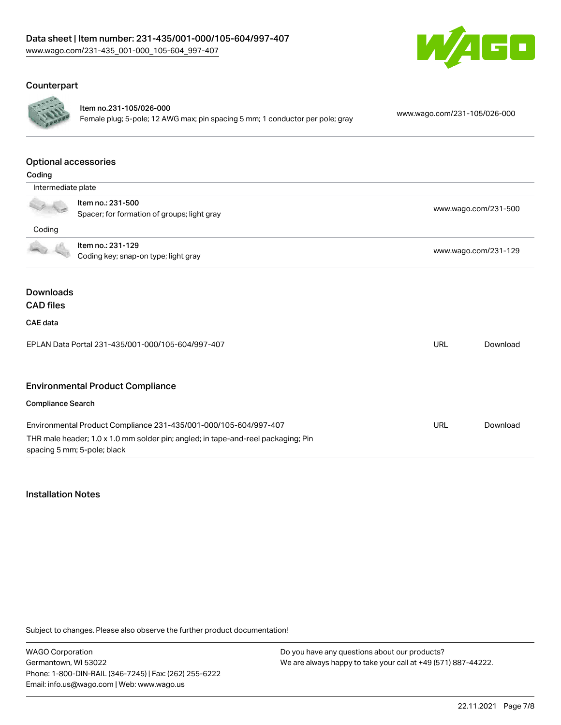

# **Counterpart**



Item no.231-105/026-000 Female plug; 5-pole; 12 AWG max; pin spacing 5 mm; 1 conductor per pole; gray [www.wago.com/231-105/026-000](https://www.wago.com/231-105/026-000)

#### Optional accessories

| Coding                                                  |                                                                                                                                                                                      |                      |          |
|---------------------------------------------------------|--------------------------------------------------------------------------------------------------------------------------------------------------------------------------------------|----------------------|----------|
| Intermediate plate                                      |                                                                                                                                                                                      |                      |          |
|                                                         | Item no.: 231-500<br>Spacer; for formation of groups; light gray                                                                                                                     | www.wago.com/231-500 |          |
| Coding                                                  |                                                                                                                                                                                      |                      |          |
|                                                         | Item no.: 231-129<br>Coding key; snap-on type; light gray                                                                                                                            | www.wago.com/231-129 |          |
| <b>Downloads</b><br><b>CAD files</b><br><b>CAE</b> data | EPLAN Data Portal 231-435/001-000/105-604/997-407                                                                                                                                    | <b>URL</b>           | Download |
|                                                         | <b>Environmental Product Compliance</b>                                                                                                                                              |                      |          |
| <b>Compliance Search</b>                                |                                                                                                                                                                                      |                      |          |
|                                                         | Environmental Product Compliance 231-435/001-000/105-604/997-407<br>THR male header; 1.0 x 1.0 mm solder pin; angled; in tape-and-reel packaging; Pin<br>spacing 5 mm; 5-pole; black | <b>URL</b>           | Download |

#### Installation Notes

Subject to changes. Please also observe the further product documentation!

WAGO Corporation Germantown, WI 53022 Phone: 1-800-DIN-RAIL (346-7245) | Fax: (262) 255-6222 Email: info.us@wago.com | Web: www.wago.us